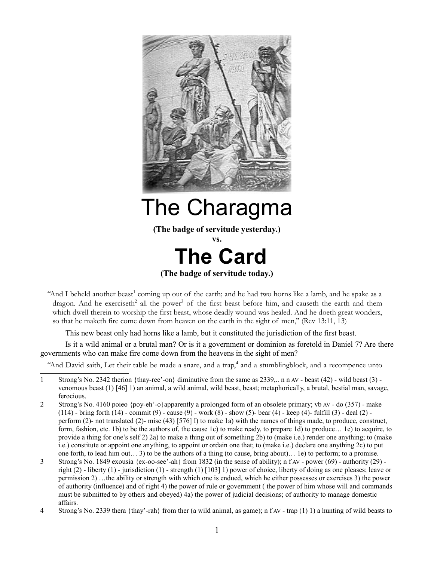

# The Charagma

**(The badge of servitude yesterday.)**

**vs.**



"And I beheld another beast<sup>[1](#page-0-0)</sup> coming up out of the earth; and he had two horns like a lamb, and he spake as a dragon. And he exerciseth<sup>[2](#page-0-1)</sup> all the power<sup>[3](#page-0-2)</sup> of the first beast before him, and causeth the earth and them which dwell therein to worship the first beast, whose deadly wound was healed. And he doeth great wonders, so that he maketh fire come down from heaven on the earth in the sight of men," (Rev 13:11, 13)

This new beast only had horns like a lamb, but it constituted the jurisdiction of the first beast.

Is it a wild animal or a brutal man? Or is it a government or dominion as foretold in Daniel 7? Are there governments who can make fire come down from the heavens in the sight of men?

"And David saith, Let their table be made a snare, and a trap,<sup>[4](#page-0-3)</sup> and a stumblingblock, and a recompence unto

<span id="page-0-1"></span>2 Strong's No. 4160 poieo {poy-eh'-o}apparently a prolonged form of an obsolete primary; vb AV - do (357) - make  $(114)$  - bring forth  $(14)$  - commit  $(9)$  - cause  $(9)$  - work  $(8)$  - show  $(5)$ - bear  $(4)$  - keep  $(4)$ - fulfill  $(3)$  - deal  $(2)$  perform (2)- not translated (2)- misc (43) [576] I) to make 1a) with the names of things made, to produce, construct, form, fashion, etc. 1b) to be the authors of, the cause 1c) to make ready, to prepare 1d) to produce… 1e) to acquire, to provide a thing for one's self 2) 2a) to make a thing out of something 2b) to (make i.e.) render one anything; to (make i.e.) constitute or appoint one anything, to appoint or ordain one that; to (make i.e.) declare one anything 2c) to put one forth, to lead him out… 3) to be the authors of a thing (to cause, bring about)… 1e) to perform; to a promise.

<span id="page-0-0"></span><sup>1</sup> Strong's No. 2342 therion {thay-ree'-on} diminutive from the same as 2339,.. n n AV - beast (42) - wild beast (3) venomous beast (1) [46] 1) an animal, a wild animal, wild beast, beast; metaphorically, a brutal, bestial man, savage, ferocious.

<span id="page-0-2"></span><sup>3</sup> Strong's No. 1849 exousia {ex-oo-see'-ah} from 1832 (in the sense of ability); n f AV - power (69) - authority (29) right  $(2)$  - liberty  $(1)$  - jurisdiction  $(1)$  - strength  $(1)$  [103] 1) power of choice, liberty of doing as one pleases; leave or permission 2) …the ability or strength with which one is endued, which he either possesses or exercises 3) the power of authority (influence) and of right 4) the power of rule or government ( the power of him whose will and commands must be submitted to by others and obeyed) 4a) the power of judicial decisions; of authority to manage domestic affairs.

<span id="page-0-3"></span><sup>4</sup> Strong's No. 2339 thera {thay'-rah} from ther (a wild animal, as game); n f AV - trap (1) 1) a hunting of wild beasts to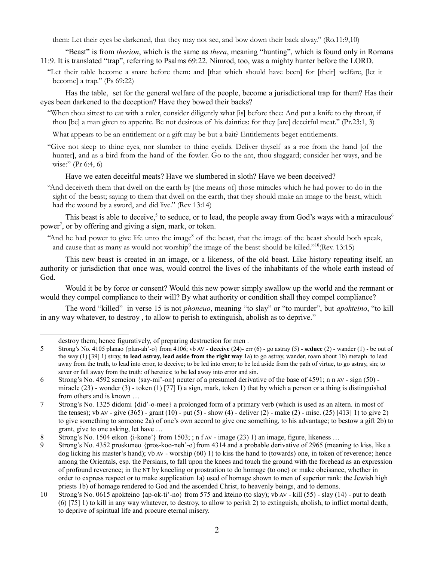them: Let their eyes be darkened, that they may not see, and bow down their back alway." (Ro.11:9,10)

"Beast" is from *therion*, which is the same as *thera*, meaning "hunting", which is found only in Romans 11:9. It is translated "trap", referring to Psalms 69:22. Nimrod, too, was a mighty hunter before the LORD.

"Let their table become a snare before them: and [that which should have been] for [their] welfare, [let it become] a trap." (Ps 69:22)

Has the table, set for the general welfare of the people, become a jurisdictional trap for them? Has their eyes been darkened to the deception? Have they bowed their backs?

"When thou sittest to eat with a ruler, consider diligently what [is] before thee: And put a knife to thy throat, if thou [be] a man given to appetite. Be not desirous of his dainties: for they [are] deceitful meat." (Pr.23:1, 3)

What appears to be an entitlement or a gift may be but a bait? Entitlements beget entitlements.

"Give not sleep to thine eyes, nor slumber to thine eyelids. Deliver thyself as a roe from the hand [of the hunter], and as a bird from the hand of the fowler. Go to the ant, thou sluggard; consider her ways, and be wise:" (Pr 6:4, 6)

Have we eaten deceitful meats? Have we slumbered in sloth? Have we been deceived?

"And deceiveth them that dwell on the earth by [the means of] those miracles which he had power to do in the sight of the beast; saying to them that dwell on the earth, that they should make an image to the beast, which had the wound by a sword, and did live." (Rev 13:14)

This beast is able to deceive,<sup>[5](#page-1-0)</sup> to seduce, or to lead, the people away from God's ways with a miraculous<sup>[6](#page-1-1)</sup> power<sup>[7](#page-1-2)</sup>, or by offering and giving a sign, mark, or token.

"And he had power to give life unto the image<sup>[8](#page-1-3)</sup> of the beast, that the image of the beast should both speak, and cause that as many as would not worship<sup>[9](#page-1-4)</sup> the image of the beast should be killed."<sup>[10](#page-1-5)</sup>(Rev. 13:15)

This new beast is created in an image, or a likeness, of the old beast. Like history repeating itself, an authority or jurisdiction that once was, would control the lives of the inhabitants of the whole earth instead of God.

Would it be by force or consent? Would this new power simply swallow up the world and the remnant or would they compel compliance to their will? By what authority or condition shall they compel compliance?

The word "killed" in verse 15 is not *phoneuo*, meaning "to slay" or "to murder", but *apokteino*, "to kill in any way whatever, to destroy , to allow to perish to extinguish, abolish as to deprive."

<span id="page-1-0"></span>destroy them; hence figuratively, of preparing destruction for men .

<sup>5</sup> Strong's No. 4105 planao {plan-ah'-o} from 4106; vb AV - **deceive** (24)- err (6) - go astray (5) - **seduce** (2) - wander (1) - be out of the way (1) [39] 1) stray, **to lead astray, lead aside from the right way** 1a) to go astray, wander, roam about 1b) metaph. to lead away from the truth, to lead into error, to deceive; to be led into error; to be led aside from the path of virtue, to go astray, sin; to sever or fall away from the truth: of heretics; to be led away into error and sin.

<span id="page-1-1"></span><sup>6</sup> Strong's No. 4592 semeion {say-mi'-on} neuter of a presumed derivative of the base of 4591; n n AV - sign (50) miracle  $(23)$  - wonder  $(3)$  - token  $(1)$  [77] I) a sign, mark, token 1) that by which a person or a thing is distinguished from others and is known …

<span id="page-1-2"></span><sup>7</sup> Strong's No. 1325 didomi {did'-o-mee} a prolonged form of a primary verb (which is used as an altern. in most of the tenses); vb AV - give  $(365)$  - grant  $(10)$  - put  $(5)$  - show  $(4)$  - deliver  $(2)$  - make  $(2)$  - misc.  $(25)$  [413] 1) to give 2) to give something to someone 2a) of one's own accord to give one something, to his advantage; to bestow a gift 2b) to grant, give to one asking, let have …

<span id="page-1-3"></span><sup>8</sup> Strong's No. 1504 eikon {i-kone'} from 1503; ; n f AV - image (23) 1) an image, figure, likeness ...

<span id="page-1-4"></span><sup>9</sup> Strong's No. 4352 proskuneo {pros-koo-neh'-o}from 4314 and a probable derivative of 2965 (meaning to kiss, like a dog licking his master's hand); vb AV - worship (60) 1) to kiss the hand to (towards) one, in token of reverence; hence among the Orientals, esp. the Persians, to fall upon the knees and touch the ground with the forehead as an expression of profound reverence; in the NT by kneeling or prostration to do homage (to one) or make obeisance, whether in order to express respect or to make supplication 1a) used of homage shown to men of superior rank: the Jewish high priests 1b) of homage rendered to God and the ascended Christ, to heavenly beings, and to demons.

<span id="page-1-5"></span><sup>10</sup> Strong's No. 0615 apokteino {ap-ok-ti'-no} from 575 and kteino (to slay); vb AV - kill (55) - slay (14) - put to death (6) [75] 1) to kill in any way whatever, to destroy, to allow to perish 2) to extinguish, abolish, to inflict mortal death, to deprive of spiritual life and procure eternal misery.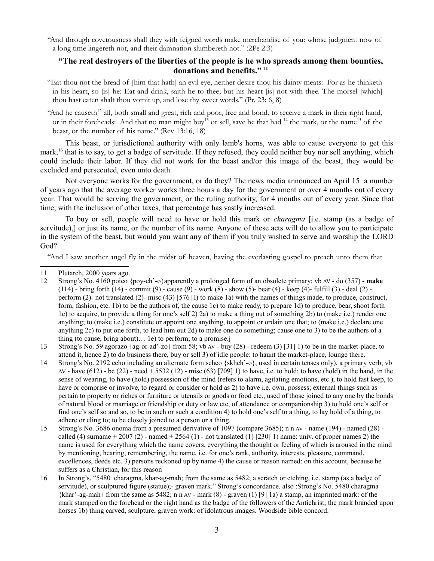"And through covetousness shall they with feigned words make merchandise of you: whose judgment now of a long time lingereth not, and their damnation slumbereth not." (2Pe 2:3)

### **"The real destroyers of the liberties of the people is he who spreads among them bounties, donations and benefits." [11](#page-2-0)**

"Eat thou not the bread of [him that hath] an evil eye, neither desire thou his dainty meats: For as he thinketh in his heart, so [is] he: Eat and drink, saith he to thee; but his heart [is] not with thee. The morsel [which] thou hast eaten shalt thou vomit up, and lose thy sweet words." (Pr. 23: 6, 8)

"And he causeth<sup>[12](#page-2-1)</sup> all, both small and great, rich and poor, free and bond, to receive a mark in their right hand, or in their foreheads: And that no man might buy<sup>[13](#page-2-2)</sup> or sell, save he that had <sup>[14](#page-2-3)</sup> the mark, or the name<sup>[15](#page-2-4)</sup> of the beast, or the number of his name." (Rev 13:16, 18)

This beast, or jurisdictional authority with only lamb's horns, was able to cause everyone to get this mark,<sup>[16](#page-2-5)</sup> that is to say, to get a badge of servitude. If they refused, they could neither buy nor sell anything, which could include their labor. If they did not work for the beast and/or this image of the beast, they would be excluded and persecuted, even unto death.

Not everyone works for the government, or do they? The news media announced on April 15 a number of years ago that the average worker works three hours a day for the government or over 4 months out of every year. That would be serving the government, or the ruling authority, for 4 months out of every year. Since that time, with the inclusion of other taxes, that percentage has vastly increased.

To buy or sell, people will need to have or hold this mark or *charagma* [i.e. stamp (as a badge of servitude),] or just its name, or the number of its name. Anyone of these acts will do to allow you to participate in the system of the beast, but would you want any of them if you truly wished to serve and worship the LORD God?

"And I saw another angel fly in the midst of heaven, having the everlasting gospel to preach unto them that

<span id="page-2-2"></span>13 Strong's No. 59 agorazo {ag-or-ad'-zo} from 58; vb AV - buy (28) - redeem (3) [31] 1) to be in the market-place, to attend it, hence 2) to do business there, buy or sell 3) of idle people: to haunt the market-place, lounge there.

- <span id="page-2-3"></span>14 Strong's No. 2192 echo including an alternate form scheo {skheh'-o}, used in certain tenses only), a primary verb; vb AV - have (612) - be (22) - need + 5532 (12) - misc (63) [709] 1) to have, i.e. to hold; to have (hold) in the hand, in the sense of wearing, to have (hold) possession of the mind (refers to alarm, agitating emotions, etc.), to hold fast keep, to have or comprise or involve, to regard or consider or hold as 2) to have i.e. own, possess; external things such as pertain to property or riches or furniture or utensils or goods or food etc., used of those joined to any one by the bonds of natural blood or marriage or friendship or duty or law etc, of attendance or companionship 3) to hold one's self or find one's self so and so, to be in such or such a condition 4) to hold one's self to a thing, to lay hold of a thing, to adhere or cling to; to be closely joined to a person or a thing.
- <span id="page-2-4"></span>15 Strong's No. 3686 onoma from a presumed derivative of 1097 (compare 3685); n n AV - name (194) - named (28) called (4) surname  $+ 2007(2)$  - named  $+ 2564(1)$  - not translated (1) [230] 1) name: univ. of proper names 2) the name is used for everything which the name covers, everything the thought or feeling of which is aroused in the mind by mentioning, hearing, remembering, the name, i.e. for one's rank, authority, interests, pleasure, command, excellences, deeds etc. 3) persons reckoned up by name 4) the cause or reason named: on this account, because he suffers as a Christian, for this reason
- <span id="page-2-5"></span>16 In Strong's. "5480 charagma, khar-ag-mah; from the same as 5482; a scratch or etching, i.e. stamp (as a badge of servitude), or sculptured figure (statue);- graven mark." Strong's concordance. also :Strong's No. 5480 charagma  $\{khar\text{'-ag-mah}\}$  from the same as 5482; n n AV - mark  $(8)$  - graven  $(1)$  [9] 1a) a stamp, an imprinted mark: of the mark stamped on the forehead or the right hand as the badge of the followers of the Antichrist; the mark branded upon horses 1b) thing carved, sculpture, graven work: of idolatrous images. Woodside bible concord.

<span id="page-2-0"></span><sup>11</sup> Plutarch, 2000 years ago.

<span id="page-2-1"></span><sup>12</sup> Strong's No. 4160 poieo {poy-eh'-o}apparently a prolonged form of an obsolete primary; vb AV - do (357) - **make**  $(114)$  - bring forth  $(14)$  - commit  $(9)$  - cause  $(9)$  - work  $(8)$  - show  $(5)$ - bear  $(4)$  - keep  $(4)$ - fulfill  $(3)$  - deal  $(2)$  perform (2)- not translated (2)- misc (43) [576] I) to make 1a) with the names of things made, to produce, construct, form, fashion, etc. 1b) to be the authors of, the cause 1c) to make ready, to prepare 1d) to produce, bear, shoot forth 1e) to acquire, to provide a thing for one's self 2) 2a) to make a thing out of something 2b) to (make i.e.) render one anything; to (make i.e.) constitute or appoint one anything, to appoint or ordain one that; to (make i.e.) declare one anything 2c) to put one forth, to lead him out 2d) to make one do something; cause one to 3) to be the authors of a thing (to cause, bring about)… 1e) to perform; to a promise.j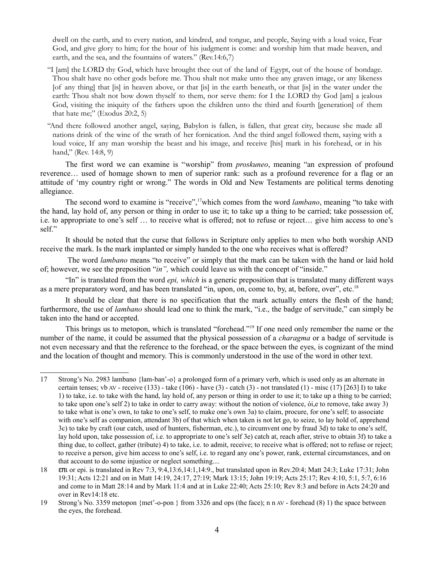dwell on the earth, and to every nation, and kindred, and tongue, and people, Saying with a loud voice, Fear God, and give glory to him; for the hour of his judgment is come: and worship him that made heaven, and earth, and the sea, and the fountains of waters." (Rev.14:6,7)

- "I [am] the LORD thy God, which have brought thee out of the land of Egypt, out of the house of bondage. Thou shalt have no other gods before me. Thou shalt not make unto thee any graven image, or any likeness [of any thing] that [is] in heaven above, or that [is] in the earth beneath, or that [is] in the water under the earth: Thou shalt not bow down thyself to them, nor serve them: for I the LORD thy God [am] a jealous God, visiting the iniquity of the fathers upon the children unto the third and fourth [generation] of them that hate me;" (Exodus 20:2, 5)
- "And there followed another angel, saying, Babylon is fallen, is fallen, that great city, because she made all nations drink of the wine of the wrath of her fornication. And the third angel followed them, saying with a loud voice, If any man worship the beast and his image, and receive [his] mark in his forehead, or in his hand," (Rev. 14:8, 9)

The first word we can examine is "worship" from *proskuneo*, meaning "an expression of profound reverence… used of homage shown to men of superior rank: such as a profound reverence for a flag or an attitude of 'my country right or wrong." The words in Old and New Testaments are political terms denoting allegiance.

The second word to examine is "receive", [17](#page-3-0)which comes from the word *lambano*, meaning "to take with the hand, lay hold of, any person or thing in order to use it; to take up a thing to be carried; take possession of, i.e. to appropriate to one's self … to receive what is offered; not to refuse or reject… give him access to one's self."

It should be noted that the curse that follows in Scripture only applies to men who both worship AND receive the mark. Is the mark implanted or simply handed to the one who receives what is offered?

 The word *lambano* means "to receive" or simply that the mark can be taken with the hand or laid hold of; however, we see the preposition "*in",* which could leave us with the concept of "inside."

"In" is translated from the word *epi, which* is a generic preposition that is translated many different ways as a mere preparatory word, and has been translated "in, upon, on, come to, by, at, before, over", etc.<sup>[18](#page-3-1)</sup>

It should be clear that there is no specification that the mark actually enters the flesh of the hand; furthermore, the use of *lambano* should lead one to think the mark, "i.e., the badge of servitude," can simply be taken into the hand or accepted.

This brings us to metopon, which is translated "forehead."<sup>[19](#page-3-2)</sup> If one need only remember the name or the number of the name, it could be assumed that the physical possession of a *charagma* or a badge of servitude is not even necessary and that the reference to the forehead, or the space between the eyes, is cognizant of the mind and the location of thought and memory. This is commonly understood in the use of the word in other text.

<span id="page-3-0"></span><sup>17</sup> Strong's No. 2983 lambano {lam-ban'-o} a prolonged form of a primary verb, which is used only as an alternate in certain tenses; vb AV - receive (133) - take (106) - have (3) - catch (3) - not translated (1) - misc (17) [263] I) to take 1) to take, i.e. to take with the hand, lay hold of, any person or thing in order to use it; to take up a thing to be carried; to take upon one's self 2) to take in order to carry away: without the notion of violence, ói,e to remove, take away 3) to take what is one's own, to take to one's self, to make one's own 3a) to claim, procure, for one's self; to associate with one's self as companion, attendant 3b) of that which when taken is not let go, to seize, to lay hold of, apprehend 3c) to take by craft (our catch, used of hunters, fisherman, etc.), to circumvent one by fraud 3d) to take to one's self, lay hold upon, take possession of, i.e. to appropriate to one's self 3e) catch at, reach after, strive to obtain 3f) to take a thing due, to collect, gather (tribute) 4) to take, i.e. to admit, receive; to receive what is offered; not to refuse or reject; to receive a person, give him access to one's self, i.e. to regard any one's power, rank, external circumstances, and on that account to do some injustice or neglect something....

<span id="page-3-1"></span><sup>18</sup> επι or epi. is translated in Rev 7:3, 9:4,13:6,14:1,14:9., but translated upon in Rev.20:4; Matt 24:3; Luke 17:31; John 19:31; Acts 12:21 and on in Matt 14:19, 24:17, 27:19; Mark 13:15; John 19:19; Acts 25:17; Rev 4:10, 5:1, 5:7, 6:16 and come to in Matt 28:14 and by Mark 11:4 and at in Luke 22:40; Acts 25:10; Rev 8:3 and before in Acts 24:20 and over in Rev14:18 etc.

<span id="page-3-2"></span><sup>19</sup> Strong's No. 3359 metopon {met'-o-pon } from 3326 and ops (the face); n n AV - forehead (8) 1) the space between the eyes, the forehead.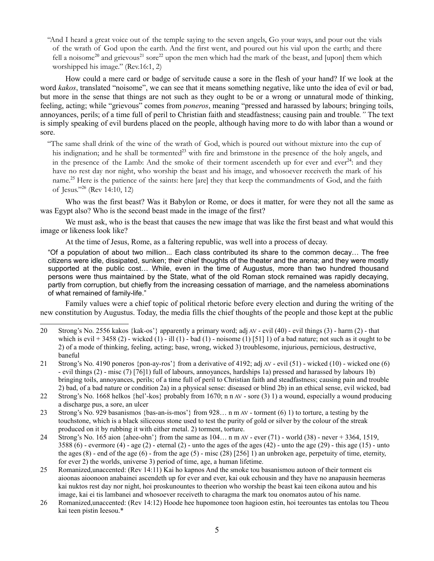"And I heard a great voice out of the temple saying to the seven angels, Go your ways, and pour out the vials of the wrath of God upon the earth. And the first went, and poured out his vial upon the earth; and there fell a noisome<sup>[20](#page-4-0)</sup> and grievous<sup>[21](#page-4-1)</sup> sore<sup>[22](#page-4-2)</sup> upon the men which had the mark of the beast, and [upon] them which worshipped his image." (Rev.16:1, 2)

How could a mere card or badge of servitude cause a sore in the flesh of your hand? If we look at the word *kakos*, translated "noisome", we can see that it means something negative, like unto the idea of evil or bad, but more in the sense that things are not such as they ought to be or a wrong or unnatural mode of thinking, feeling, acting; while "grievous" comes from *poneros*, meaning "pressed and harassed by labours; bringing toils, annoyances, perils; of a time full of peril to Christian faith and steadfastness; causing pain and trouble*."* The text is simply speaking of evil burdens placed on the people, although having more to do with labor than a wound or sore.

"The same shall drink of the wine of the wrath of God, which is poured out without mixture into the cup of his indignation; and he shall be tormented<sup>[23](#page-4-3)</sup> with fire and brimstone in the presence of the holy angels, and in the presence of the Lamb: And the smoke of their torment ascendeth up for ever and ever<sup>[24](#page-4-4)</sup>: and they have no rest day nor night, who worship the beast and his image, and whosoever receiveth the mark of his name.<sup>[25](#page-4-5)</sup> Here is the patience of the saints: here [are] they that keep the commandments of God, and the faith of Jesus."[26](#page-4-6) (Rev 14:10, 12)

Who was the first beast? Was it Babylon or Rome, or does it matter, for were they not all the same as was Egypt also? Who is the second beast made in the image of the first?

We must ask, who is the beast that causes the new image that was like the first beast and what would this image or likeness look like?

At the time of Jesus, Rome, as a faltering republic, was well into a process of decay.

"Of a population of about two million... Each class contributed its share to the common decay… The free citizens were idle, dissipated, sunken; their chief thoughts of the theater and the arena; and they were mostly supported at the public cost… While, even in the time of Augustus, more than two hundred thousand persons were thus maintained by the State, what of the old Roman stock remained was rapidly decaying, partly from corruption, but chiefly from the increasing cessation of marriage, and the nameless abominations of what remained of family-life."

Family values were a chief topic of political rhetoric before every election and during the writing of the new constitution by Augustus. Today, the media fills the chief thoughts of the people and those kept at the public

<span id="page-4-2"></span>22 Strong's No. 1668 helkos {hel'-kos} probably from 1670; n n AV - sore (3) 1) a wound, especially a wound producing a discharge pus, a sore, an ulcer

<span id="page-4-3"></span>23 Strong's No. 929 basanismos {bas-an-is-mos'} from 928… n m AV - torment (6) 1) to torture, a testing by the touchstone, which is a black siliceous stone used to test the purity of gold or silver by the colour of the streak produced on it by rubbing it with either metal. 2) torment, torture.

<span id="page-4-4"></span>24 Strong's No. 165 aion {ahee-ohn'} from the same as 104… n m AV - ever (71) - world (38) - never + 3364, 1519, 3588 (6) - evermore (4) - age (2) - eternal (2) - unto the ages of the ages (42) - unto the age (29) - this age (15) - unto the ages  $(8)$  - end of the age  $(6)$  - from the age  $(5)$  - misc  $(28)$  [256] 1) an unbroken age, perpetuity of time, eternity, for ever 2) the worlds, universe 3) period of time, age, a human lifetime.

<span id="page-4-5"></span>25 Romanized,unaccented: (Rev 14:11) Kai ho kapnos And the smoke tou basanismou autoon of their torment eis aioonas aioonoon anabainei ascendeth up for ever and ever, kai ouk echousin and they have no anapausin heemeras kai nuktos rest day nor night, hoi proskunountes to theerion who worship the beast kai teen eikona autou and his image, kai ei tis lambanei and whosoever receiveth to charagma the mark tou onomatos autou of his name.

<span id="page-4-0"></span><sup>20</sup> Strong's No. 2556 kakos {kak-os'} apparently a primary word; adj AV - evil (40) - evil things (3) - harm (2) - that which is evil  $+3458(2)$  - wicked  $(1)$  - ill  $(1)$  - bad  $(1)$  - noisome  $(1)$  [51] 1) of a bad nature; not such as it ought to be 2) of a mode of thinking, feeling, acting; base, wrong, wicked 3) troublesome, injurious, pernicious, destructive, baneful

<span id="page-4-1"></span><sup>21</sup> Strong's No. 4190 poneros {pon-ay-ros'} from a derivative of 4192; adj AV - evil (51) - wicked (10) - wicked one (6) - evil things (2) - misc (7) [76]1) full of labours, annoyances, hardships 1a) pressed and harassed by labours 1b) bringing toils, annoyances, perils; of a time full of peril to Christian faith and steadfastness; causing pain and trouble 2) bad, of a bad nature or condition 2a) in a physical sense: diseased or blind 2b) in an ethical sense, evil wicked, bad

<span id="page-4-6"></span><sup>26</sup> Romanized,unaccented: (Rev 14:12) Hoode hee hupomonee toon hagioon estin, hoi teerountes tas entolas tou Theou kai teen pistin Ieesou.\*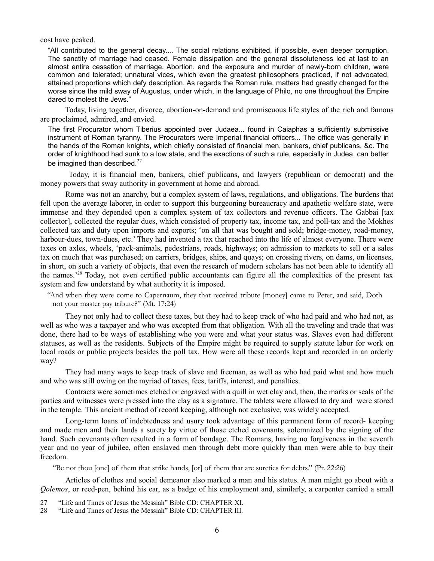cost have peaked.

"All contributed to the general decay.... The social relations exhibited, if possible, even deeper corruption. The sanctity of marriage had ceased. Female dissipation and the general dissoluteness led at last to an almost entire cessation of marriage. Abortion, and the exposure and murder of newly-born children, were common and tolerated; unnatural vices, which even the greatest philosophers practiced, if not advocated, attained proportions which defy description. As regards the Roman rule, matters had greatly changed for the worse since the mild sway of Augustus, under which, in the language of Philo, no one throughout the Empire dared to molest the Jews."

Today, living together, divorce, abortion-on-demand and promiscuous life styles of the rich and famous are proclaimed, admired, and envied.

The first Procurator whom Tiberius appointed over Judaea... found in Caiaphas a sufficiently submissive instrument of Roman tyranny. The Procurators were Imperial financial officers... The office was generally in the hands of the Roman knights, which chiefly consisted of financial men, bankers, chief publicans, &c. The order of knighthood had sunk to a low state, and the exactions of such a rule, especially in Judea, can better be imagined than described. $27$ 

 Today, it is financial men, bankers, chief publicans, and lawyers (republican or democrat) and the money powers that sway authority in government at home and abroad.

Rome was not an anarchy, but a complex system of laws, regulations, and obligations. The burdens that fell upon the average laborer, in order to support this burgeoning bureaucracy and apathetic welfare state, were immense and they depended upon a complex system of tax collectors and revenue officers. The Gabbai [tax collector], collected the regular dues, which consisted of property tax, income tax, and poll-tax and the Mokhes collected tax and duty upon imports and exports; 'on all that was bought and sold; bridge-money, road-money, harbour-dues, town-dues, etc.' They had invented a tax that reached into the life of almost everyone. There were taxes on axles, wheels, 'pack-animals, pedestrians, roads, highways; on admission to markets to sell or a sales tax on much that was purchased; on carriers, bridges, ships, and quays; on crossing rivers, on dams, on licenses, in short, on such a variety of objects, that even the research of modern scholars has not been able to identify all the names.'[28](#page-5-1) Today, not even certified public accountants can figure all the complexities of the present tax system and few understand by what authority it is imposed.

"And when they were come to Capernaum, they that received tribute [money] came to Peter, and said, Doth not your master pay tribute?" (Mt. 17:24)

They not only had to collect these taxes, but they had to keep track of who had paid and who had not, as well as who was a taxpayer and who was excepted from that obligation. With all the traveling and trade that was done, there had to be ways of establishing who you were and what your status was. Slaves even had different statuses, as well as the residents. Subjects of the Empire might be required to supply statute labor for work on local roads or public projects besides the poll tax. How were all these records kept and recorded in an orderly way?

They had many ways to keep track of slave and freeman, as well as who had paid what and how much and who was still owing on the myriad of taxes, fees, tariffs, interest, and penalties.

Contracts were sometimes etched or engraved with a quill in wet clay and, then, the marks or seals of the parties and witnesses were pressed into the clay as a signature. The tablets were allowed to dry and were stored in the temple. This ancient method of record keeping, although not exclusive, was widely accepted.

Long-term loans of indebtedness and usury took advantage of this permanent form of record- keeping and made men and their lands a surety by virtue of those etched covenants, solemnized by the signing of the hand. Such covenants often resulted in a form of bondage. The Romans, having no forgiveness in the seventh year and no year of jubilee, often enslaved men through debt more quickly than men were able to buy their freedom.

"Be not thou [one] of them that strike hands, [or] of them that are sureties for debts." (Pr. 22:26)

Articles of clothes and social demeanor also marked a man and his status. A man might go about with a *Qolemos*, or reed-pen, behind his ear, as a badge of his employment and, similarly, a carpenter carried a small

<span id="page-5-0"></span><sup>27</sup> "Life and Times of Jesus the Messiah" Bible CD: CHAPTER XI.

<span id="page-5-1"></span><sup>28</sup> "Life and Times of Jesus the Messiah" Bible CD: CHAPTER III.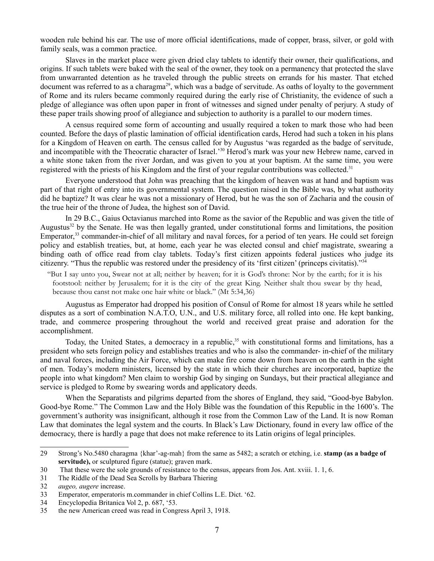wooden rule behind his ear. The use of more official identifications, made of copper, brass, silver, or gold with family seals, was a common practice.

Slaves in the market place were given dried clay tablets to identify their owner, their qualifications, and origins. If such tablets were baked with the seal of the owner, they took on a permanency that protected the slave from unwarranted detention as he traveled through the public streets on errands for his master. That etched document was referred to as a charagma<sup>[29](#page-6-0)</sup>, which was a badge of servitude. As oaths of loyalty to the government of Rome and its rulers became commonly required during the early rise of Christianity, the evidence of such a pledge of allegiance was often upon paper in front of witnesses and signed under penalty of perjury. A study of these paper trails showing proof of allegiance and subjection to authority is a parallel to our modern times.

A census required some form of accounting and usually required a token to mark those who had been counted. Before the days of plastic lamination of official identification cards, Herod had such a token in his plans for a Kingdom of Heaven on earth. The census called for by Augustus 'was regarded as the badge of servitude, and incompatible with the Theocratic character of Israel.'[30](#page-6-1) Herod's mark was your new Hebrew name, carved in a white stone taken from the river Jordan, and was given to you at your baptism. At the same time, you were registered with the priests of his Kingdom and the first of your regular contributions was collected.<sup>[31](#page-6-2)</sup>

Everyone understood that John was preaching that the kingdom of heaven was at hand and baptism was part of that right of entry into its governmental system. The question raised in the Bible was, by what authority did he baptize? It was clear he was not a missionary of Herod, but he was the son of Zacharia and the cousin of the true heir of the throne of Judea, the highest son of David.

In 29 B.C., Gaius Octavianus marched into Rome as the savior of the Republic and was given the title of Augustus $32$  by the Senate. He was then legally granted, under constitutional forms and limitations, the position Emperator,<sup>[33](#page-6-4)</sup> commander-in-chief of all military and naval forces, for a period of ten years. He could set foreign policy and establish treaties, but, at home, each year he was elected consul and chief magistrate, swearing a binding oath of office read from clay tablets. Today's first citizen appoints federal justices who judge its citizenry. "Thus the republic was restored under the presidency of its 'first citizen' (princeps civitatis)."[34](#page-6-5)

"But I say unto you, Swear not at all; neither by heaven; for it is God's throne: Nor by the earth; for it is his footstool: neither by Jerusalem; for it is the city of the great King. Neither shalt thou swear by thy head, because thou canst not make one hair white or black." (Mt 5:34,36)

Augustus as Emperator had dropped his position of Consul of Rome for almost 18 years while he settled disputes as a sort of combination N.A.T.O, U.N., and U.S. military force, all rolled into one. He kept banking, trade, and commerce prospering throughout the world and received great praise and adoration for the accomplishment.

Today, the United States, a democracy in a republic,<sup>[35](#page-6-6)</sup> with constitutional forms and limitations, has a president who sets foreign policy and establishes treaties and who is also the commander- in-chief of the military and naval forces, including the Air Force, which can make fire come down from heaven on the earth in the sight of men. Today's modern ministers, licensed by the state in which their churches are incorporated, baptize the people into what kingdom? Men claim to worship God by singing on Sundays, but their practical allegiance and service is pledged to Rome by swearing words and applicatory deeds.

When the Separatists and pilgrims departed from the shores of England, they said, "Good-bye Babylon. Good-bye Rome." The Common Law and the Holy Bible was the foundation of this Republic in the 1600's. The government's authority was insignificant, although it rose from the Common Law of the Land. It is now Roman Law that dominates the legal system and the courts. In Black's Law Dictionary, found in every law office of the democracy, there is hardly a page that does not make reference to its Latin origins of legal principles.

<span id="page-6-0"></span><sup>29</sup> Strong's No.5480 charagma {khar'-ag-mah} from the same as 5482; a scratch or etching, i.e. **stamp (as a badge of servitude),** or sculptured figure (statue); graven mark.

<span id="page-6-1"></span><sup>30</sup> That these were the sole grounds of resistance to the census, appears from Jos. Ant. xviii. 1. 1, 6.

<span id="page-6-2"></span><sup>31</sup> The Riddle of the Dead Sea Scrolls by Barbara Thiering

<span id="page-6-3"></span><sup>32</sup> *augeo, augere* increase.

<span id="page-6-4"></span><sup>33</sup> Emperator, emperatoris m.commander in chief Collins L.E. Dict. '62.

<span id="page-6-5"></span><sup>34</sup> Encyclopedia Britanica Vol 2, p. 687, '53.

<span id="page-6-6"></span><sup>35</sup> the new American creed was read in Congress April 3, 1918.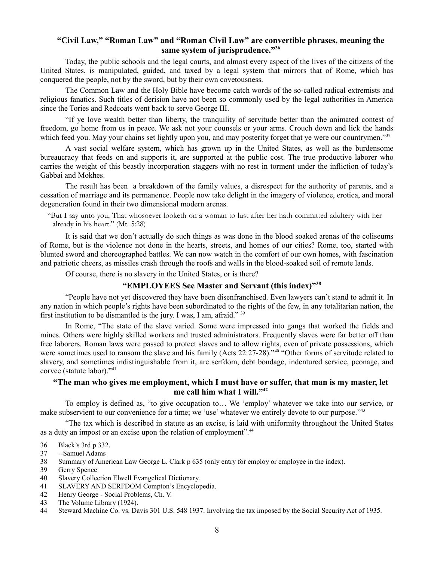## **"Civil Law," "Roman Law" and "Roman Civil Law" are convertible phrases, meaning the same system of jurisprudence."[36](#page-7-0)**

Today, the public schools and the legal courts, and almost every aspect of the lives of the citizens of the United States, is manipulated, guided, and taxed by a legal system that mirrors that of Rome, which has conquered the people, not by the sword, but by their own covetousness.

The Common Law and the Holy Bible have become catch words of the so-called radical extremists and religious fanatics. Such titles of derision have not been so commonly used by the legal authorities in America since the Tories and Redcoats went back to serve George III.

"If ye love wealth better than liberty, the tranquility of servitude better than the animated contest of freedom, go home from us in peace. We ask not your counsels or your arms. Crouch down and lick the hands which feed you. May your chains set lightly upon you, and may posterity forget that ye were our countrymen."<sup>[37](#page-7-1)</sup>

A vast social welfare system, which has grown up in the United States, as well as the burdensome bureaucracy that feeds on and supports it, are supported at the public cost. The true productive laborer who carries the weight of this beastly incorporation staggers with no rest in torment under the infliction of today's Gabbai and Mokhes.

The result has been a breakdown of the family values, a disrespect for the authority of parents, and a cessation of marriage and its permanence. People now take delight in the imagery of violence, erotica, and moral degeneration found in their two dimensional modern arenas.

"But I say unto you, That whosoever looketh on a woman to lust after her hath committed adultery with her already in his heart." (Mt. 5:28)

It is said that we don't actually do such things as was done in the blood soaked arenas of the coliseums of Rome, but is the violence not done in the hearts, streets, and homes of our cities? Rome, too, started with blunted sword and choreographed battles. We can now watch in the comfort of our own homes, with fascination and patriotic cheers, as missiles crash through the roofs and walls in the blood-soaked soil of remote lands.

Of course, there is no slavery in the United States, or is there?

#### **"EMPLOYEES See Master and Servant (this index)"[38](#page-7-2)**

"People have not yet discovered they have been disenfranchised. Even lawyers can't stand to admit it. In any nation in which people's rights have been subordinated to the rights of the few, in any totalitarian nation, the first institution to be dismantled is the jury. I was, I am, afraid."  $39$ 

In Rome, "The state of the slave varied. Some were impressed into gangs that worked the fields and mines. Others were highly skilled workers and trusted administrators. Frequently slaves were far better off than free laborers. Roman laws were passed to protect slaves and to allow rights, even of private possessions, which were sometimes used to ransom the slave and his family (Acts 22:27-28).<sup>3[40](#page-7-4)</sup> "Other forms of servitude related to slavery, and sometimes indistinguishable from it, are serfdom, debt bondage, indentured service, peonage, and corvee (statute labor)."[41](#page-7-5)

#### **"The man who gives me employment, which I must have or suffer, that man is my master, let me call him what I will."[42](#page-7-6)**

To employ is defined as, "to give occupation to… We 'employ' whatever we take into our service, or make subservient to our convenience for a time; we 'use' whatever we entirely devote to our purpose."<sup>[43](#page-7-7)</sup>

"The tax which is described in statute as an excise, is laid with uniformity throughout the United States as a duty an impost or an excise upon the relation of employment".<sup>[44](#page-7-8)</sup>

<span id="page-7-0"></span><sup>36</sup> Black's 3rd p 332.

<span id="page-7-1"></span><sup>37</sup> --Samuel Adams

<span id="page-7-2"></span><sup>38</sup> Summary of American Law George L. Clark p 635 (only entry for employ or employee in the index).

<span id="page-7-3"></span><sup>39</sup> Gerry Spence

<span id="page-7-4"></span><sup>40</sup> Slavery Collection Elwell Evangelical Dictionary.

<span id="page-7-5"></span><sup>41</sup> SLAVERY AND SERFDOM Compton's Encyclopedia.

<span id="page-7-6"></span><sup>42</sup> Henry George - Social Problems, Ch. V.

<span id="page-7-7"></span><sup>43</sup> The Volume Library (1924).

<span id="page-7-8"></span><sup>44</sup> Steward Machine Co. vs. Davis 301 U.S. 548 1937. Involving the tax imposed by the Social Security Act of 1935.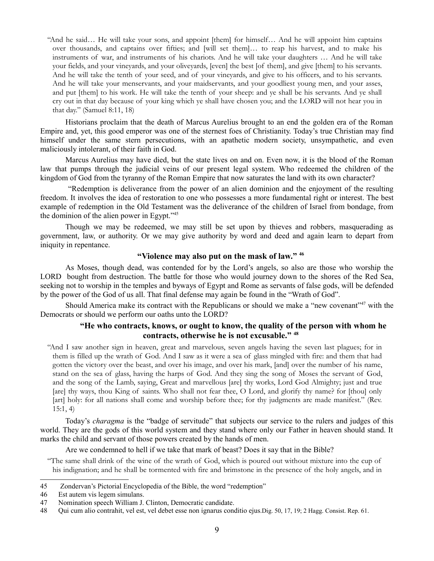"And he said… He will take your sons, and appoint [them] for himself… And he will appoint him captains over thousands, and captains over fifties; and [will set them]… to reap his harvest, and to make his instruments of war, and instruments of his chariots. And he will take your daughters … And he will take your fields, and your vineyards, and your oliveyards, [even] the best [of them], and give [them] to his servants. And he will take the tenth of your seed, and of your vineyards, and give to his officers, and to his servants. And he will take your menservants, and your maidservants, and your goodliest young men, and your asses, and put [them] to his work. He will take the tenth of your sheep: and ye shall be his servants. And ye shall cry out in that day because of your king which ye shall have chosen you; and the LORD will not hear you in that day." (Samuel 8:11, 18)

Historians proclaim that the death of Marcus Aurelius brought to an end the golden era of the Roman Empire and, yet, this good emperor was one of the sternest foes of Christianity. Today's true Christian may find himself under the same stern persecutions, with an apathetic modern society, unsympathetic, and even maliciously intolerant, of their faith in God.

Marcus Aurelius may have died, but the state lives on and on. Even now, it is the blood of the Roman law that pumps through the judicial veins of our present legal system. Who redeemed the children of the kingdom of God from the tyranny of the Roman Empire that now saturates the land with its own character?

 "Redemption is deliverance from the power of an alien dominion and the enjoyment of the resulting freedom. It involves the idea of restoration to one who possesses a more fundamental right or interest. The best example of redemption in the Old Testament was the deliverance of the children of Israel from bondage, from the dominion of the alien power in Egypt."[45](#page-8-0)

Though we may be redeemed, we may still be set upon by thieves and robbers, masquerading as government, law, or authority. Or we may give authority by word and deed and again learn to depart from iniquity in repentance.

#### **"Violence may also put on the mask of law." [46](#page-8-1)**

As Moses, though dead, was contended for by the Lord's angels, so also are those who worship the LORD bought from destruction. The battle for those who would journey down to the shores of the Red Sea, seeking not to worship in the temples and byways of Egypt and Rome as servants of false gods, will be defended by the power of the God of us all. That final defense may again be found in the "Wrath of God".

Should America make its contract with the Republicans or should we make a "new covenant"<sup>[47](#page-8-2)</sup> with the Democrats or should we perform our oaths unto the LORD?

#### **"He who contracts, knows, or ought to know, the quality of the person with whom he contracts, otherwise he is not excusable." [48](#page-8-3)**

"And I saw another sign in heaven, great and marvelous, seven angels having the seven last plagues; for in them is filled up the wrath of God. And I saw as it were a sea of glass mingled with fire: and them that had gotten the victory over the beast, and over his image, and over his mark, [and] over the number of his name, stand on the sea of glass, having the harps of God. And they sing the song of Moses the servant of God, and the song of the Lamb, saying, Great and marvellous [are] thy works, Lord God Almighty; just and true [are] thy ways, thou King of saints. Who shall not fear thee, O Lord, and glorify thy name? for [thou] only [art] holy: for all nations shall come and worship before thee; for thy judgments are made manifest." (Rev. 15:1, 4)

Today's *charagma* is the "badge of servitude" that subjects our service to the rulers and judges of this world. They are the gods of this world system and they stand where only our Father in heaven should stand. It marks the child and servant of those powers created by the hands of men.

Are we condemned to hell if we take that mark of beast? Does it say that in the Bible?

"The same shall drink of the wine of the wrath of God, which is poured out without mixture into the cup of his indignation; and he shall be tormented with fire and brimstone in the presence of the holy angels, and in

<span id="page-8-1"></span>46 Est autem vis legem simulans.

<span id="page-8-0"></span><sup>45</sup> Zondervan's Pictorial Encyclopedia of the Bible, the word "redemption"

<span id="page-8-2"></span><sup>47</sup> Nomination speech William J. Clinton, Democratic candidate.

<span id="page-8-3"></span><sup>48</sup> Qui cum alio contrahit, vel est, vel debet esse non ignarus conditio ejus.Dig. 50, 17, 19; 2 Hagg. Consist. Rep. 61.